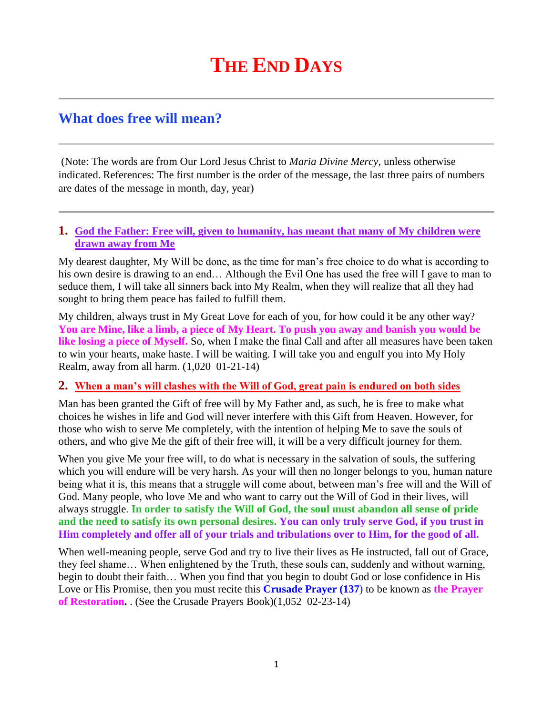# **THE END DAYS**

# **What does free will mean?**

(Note: The words are from Our Lord Jesus Christ to *Maria Divine Mercy*, unless otherwise indicated. References: The first number is the order of the message, the last three pairs of numbers are dates of the message in month, day, year)

#### **1. [God the Father: Free will, given to humanity, has meant that many of My children were](http://www.thewarningsecondcoming.com/god-the-father-free-will-given-to-humanity-has-meant-that-many-of-my-children-were-drawn-away-from-me/)  [drawn away from Me](http://www.thewarningsecondcoming.com/god-the-father-free-will-given-to-humanity-has-meant-that-many-of-my-children-were-drawn-away-from-me/)**

My dearest daughter, My Will be done, as the time for man's free choice to do what is according to his own desire is drawing to an end… Although the Evil One has used the free will I gave to man to seduce them, I will take all sinners back into My Realm, when they will realize that all they had sought to bring them peace has failed to fulfill them.

My children, always trust in My Great Love for each of you, for how could it be any other way? **You are Mine, like a limb, a piece of My Heart. To push you away and banish you would be**  like losing a piece of Myself. So, when I make the final Call and after all measures have been taken to win your hearts, make haste. I will be waiting. I will take you and engulf you into My Holy Realm, away from all harm. (1,020 01-21-14)

#### **2. [When a man's will clashes with the Will of God, great pain is endured on both sides](http://www.thewarningsecondcoming.com/when-a-mans-will-clashes-with-the-will-of-god-great-pain-is-endured-on-both-sides/)**

Man has been granted the Gift of free will by My Father and, as such, he is free to make what choices he wishes in life and God will never interfere with this Gift from Heaven. However, for those who wish to serve Me completely, with the intention of helping Me to save the souls of others, and who give Me the gift of their free will, it will be a very difficult journey for them.

When you give Me your free will, to do what is necessary in the salvation of souls, the suffering which you will endure will be very harsh. As your will then no longer belongs to you, human nature being what it is, this means that a struggle will come about, between man's free will and the Will of God. Many people, who love Me and who want to carry out the Will of God in their lives, will always struggle. **In order to satisfy the Will of God, the soul must abandon all sense of pride and the need to satisfy its own personal desires. You can only truly serve God, if you trust in Him completely and offer all of your trials and tribulations over to Him, for the good of all.**

When well-meaning people, serve God and try to live their lives as He instructed, fall out of Grace, they feel shame… When enlightened by the Truth, these souls can, suddenly and without warning, begin to doubt their faith… When you find that you begin to doubt God or lose confidence in His Love or His Promise, then you must recite this **Crusade Prayer (137**) to be known as **the Prayer of Restoration.** . (See the Crusade Prayers Book)(1,052 02-23-14)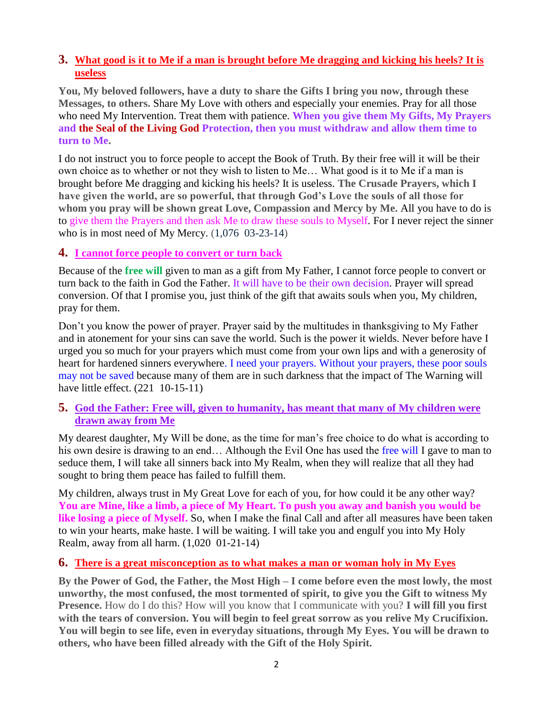## **3. [What good is it to Me if a man is brought before Me dragging and kicking his heels? It is](http://www.thewarningsecondcoming.com/what-good-is-it-to-me-if-a-man-is-brought-before-me-dragging-and-kicking-his-heels-it-is-useless/)  [useless](http://www.thewarningsecondcoming.com/what-good-is-it-to-me-if-a-man-is-brought-before-me-dragging-and-kicking-his-heels-it-is-useless/)**

**You, My beloved followers, have a duty to share the Gifts I bring you now, through these Messages, to others.** Share My Love with others and especially your enemies. Pray for all those who need My Intervention. Treat them with patience. **When you give them My Gifts, My Prayers and the Seal of the Living God Protection, then you must withdraw and allow them time to turn to Me.**

I do not instruct you to force people to accept the Book of Truth. By their free will it will be their own choice as to whether or not they wish to listen to Me… What good is it to Me if a man is brought before Me dragging and kicking his heels? It is useless. **The Crusade Prayers, which I have given the world, are so powerful, that through God's Love the souls of all those for whom you pray will be shown great Love, Compassion and Mercy by Me.** All you have to do is to give them the Prayers and then ask Me to draw these souls to Myself. For I never reject the sinner who is in most need of My Mercy. (1,076 03-23-14)

### **4. [I cannot force people to convert or turn back](http://www.thewarningsecondcoming.com/i-cannot-force-people-to-convert-or-turn-back/)**

Because of the **free will** given to man as a gift from My Father, I cannot force people to convert or turn back to the faith in God the Father. It will have to be their own decision. Prayer will spread conversion. Of that I promise you, just think of the gift that awaits souls when you, My children, pray for them.

Don't you know the power of prayer. Prayer said by the multitudes in thanksgiving to My Father and in atonement for your sins can save the world. Such is the power it wields. Never before have I urged you so much for your prayers which must come from your own lips and with a generosity of heart for hardened sinners everywhere. I need your prayers. Without your prayers, these poor souls may not be saved because many of them are in such darkness that the impact of The Warning will have little effect. (221 10-15-11)

#### **5. [God the Father: Free will, given to humanity, has meant that many of My children were](http://www.thewarningsecondcoming.com/god-the-father-free-will-given-to-humanity-has-meant-that-many-of-my-children-were-drawn-away-from-me/)  [drawn away from Me](http://www.thewarningsecondcoming.com/god-the-father-free-will-given-to-humanity-has-meant-that-many-of-my-children-were-drawn-away-from-me/)**

My dearest daughter, My Will be done, as the time for man's free choice to do what is according to his own desire is drawing to an end... Although the Evil One has used the free will I gave to man to seduce them, I will take all sinners back into My Realm, when they will realize that all they had sought to bring them peace has failed to fulfill them.

My children, always trust in My Great Love for each of you, for how could it be any other way? **You are Mine, like a limb, a piece of My Heart. To push you away and banish you would be**  like losing a piece of Myself. So, when I make the final Call and after all measures have been taken to win your hearts, make haste. I will be waiting. I will take you and engulf you into My Holy Realm, away from all harm. (1,020 01-21-14)

#### **6. [There is a great misconception as to what makes a man or woman holy in My Eyes](http://www.thewarningsecondcoming.com/there-is-a-great-misconception-as-to-what-makes-a-man-or-woman-holy-in-my-eyes/)**

**By the Power of God, the Father, the Most High – I come before even the most lowly, the most unworthy, the most confused, the most tormented of spirit, to give you the Gift to witness My Presence.** How do I do this? How will you know that I communicate with you? **I will fill you first with the tears of conversion. You will begin to feel great sorrow as you relive My Crucifixion. You will begin to see life, even in everyday situations, through My Eyes. You will be drawn to others, who have been filled already with the Gift of the Holy Spirit.**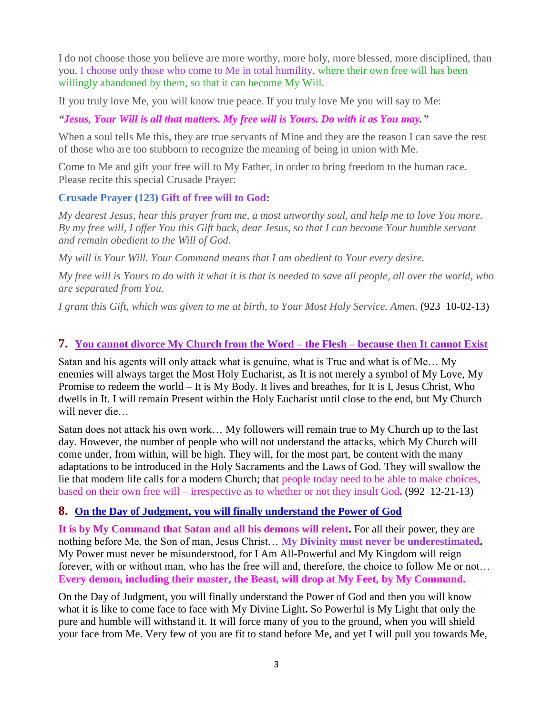I do not choose those you believe are more worthy, more holy, more blessed, more disciplined, than you. I choose only those who come to Me in total humility, where their own free will has been willingly abandoned by them, so that it can become My Will.

If you truly love Me, you will know true peace. If you truly love Me you will say to Me:

*"Jesus, Your Will is all that matters. My free will is Yours. Do with it as You may."*

When a soul tells Me this, they are true servants of Mine and they are the reason I can save the rest of those who are too stubborn to recognize the meaning of being in union with Me.

Come to Me and gift your free will to My Father, in order to bring freedom to the human race. Please recite this special Crusade Prayer:

#### **Crusade Prayer (123) Gift of free will to God:**

*My dearest Jesus, hear this prayer from me, a most unworthy soul, and help me to love You more. By my free will, I offer You this Gift back, dear Jesus, so that I can become Your humble servant and remain obedient to the Will of God.*

*My will is Your Will. Your Command means that I am obedient to Your every desire.*

*My free will is Yours to do with it what it is that is needed to save all people, all over the world, who are separated from You.*

*I grant this Gift, which was given to me at birth, to Your Most Holy Service. Amen.* (923 10-02-13)

### **7. [You cannot divorce My Church from the Word –](http://www.thewarningsecondcoming.com/you-cannot-divorce-my-church-from-the-word-the-flesh-because-then-it-cannot-exist/) the Flesh – because then It cannot Exist**

Satan and his agents will only attack what is genuine, what is True and what is of Me… My enemies will always target the Most Holy Eucharist, as It is not merely a symbol of My Love, My Promise to redeem the world – It is My Body. It lives and breathes, for It is I, Jesus Christ, Who dwells in It. I will remain Present within the Holy Eucharist until close to the end, but My Church will never die…

Satan does not attack his own work… My followers will remain true to My Church up to the last day. However, the number of people who will not understand the attacks, which My Church will come under, from within, will be high. They will, for the most part, be content with the many adaptations to be introduced in the Holy Sacraments and the Laws of God. They will swallow the lie that modern life calls for a modern Church; that people today need to be able to make choices, based on their own free will – irrespective as to whether or not they insult God**.** (992 12-21-13)

#### **8. [On the Day of Judgment, you will finally understand the Power of God](http://www.thewarningsecondcoming.com/on-the-day-of-judgement-you-will-finally-understand-the-power-of-god/)**

**It is by My Command that Satan and all his demons will relent.** For all their power, they are nothing before Me, the Son of man, Jesus Christ… **My Divinity must never be underestimated.** My Power must never be misunderstood, for I Am All-Powerful and My Kingdom will reign forever, with or without man, who has the free will and, therefore, the choice to follow Me or not… **Every demon, including their master, the Beast, will drop at My Feet, by My Command.**

On the Day of Judgment, you will finally understand the Power of God and then you will know what it is like to come face to face with My Divine Light**.** So Powerful is My Light that only the pure and humble will withstand it. It will force many of you to the ground, when you will shield your face from Me. Very few of you are fit to stand before Me, and yet I will pull you towards Me,